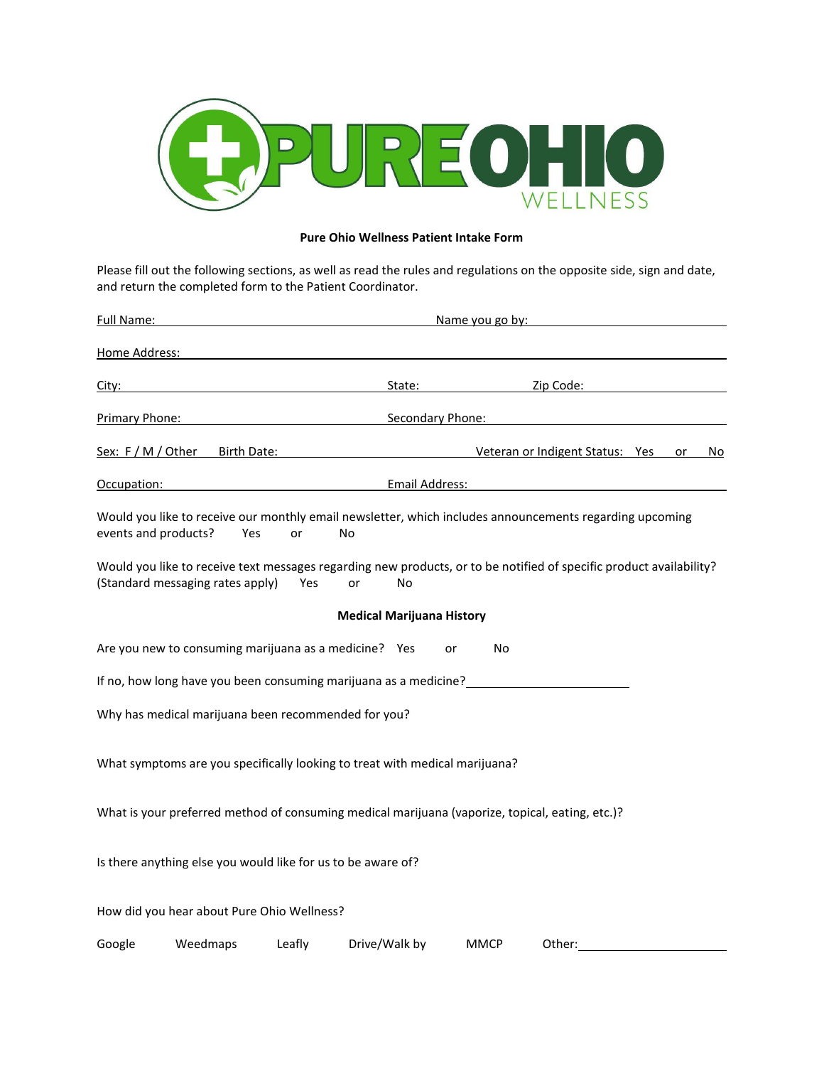

## **Pure Ohio Wellness Patient Intake Form**

Please fill out the following sections, as well as read the rules and regulations on the opposite side, sign and date, and return the completed form to the Patient Coordinator.

| Full Name:                    |                                                              |            | Name you go by:                                                                                                                 |             |                                 |  |    |    |  |
|-------------------------------|--------------------------------------------------------------|------------|---------------------------------------------------------------------------------------------------------------------------------|-------------|---------------------------------|--|----|----|--|
| Home Address:                 |                                                              |            |                                                                                                                                 |             |                                 |  |    |    |  |
| <u>City:</u>                  |                                                              |            | State:                                                                                                                          |             | Zip Code:                       |  |    |    |  |
| Primary Phone:                |                                                              |            | <b>Secondary Phone:</b>                                                                                                         |             |                                 |  |    |    |  |
| Sex: F / M / Other            | Birth Date:                                                  |            |                                                                                                                                 |             | Veteran or Indigent Status: Yes |  | or | No |  |
| Email Address:<br>Occupation: |                                                              |            |                                                                                                                                 |             |                                 |  |    |    |  |
| events and products?          | Yes                                                          | or         | Would you like to receive our monthly email newsletter, which includes announcements regarding upcoming<br>No                   |             |                                 |  |    |    |  |
|                               | (Standard messaging rates apply)                             | <b>Yes</b> | Would you like to receive text messages regarding new products, or to be notified of specific product availability?<br>No<br>or |             |                                 |  |    |    |  |
|                               |                                                              |            | <b>Medical Marijuana History</b>                                                                                                |             |                                 |  |    |    |  |
|                               | Are you new to consuming marijuana as a medicine? Yes        |            |                                                                                                                                 | No<br>or    |                                 |  |    |    |  |
|                               |                                                              |            | If no, how long have you been consuming marijuana as a medicine?                                                                |             |                                 |  |    |    |  |
|                               | Why has medical marijuana been recommended for you?          |            |                                                                                                                                 |             |                                 |  |    |    |  |
|                               |                                                              |            | What symptoms are you specifically looking to treat with medical marijuana?                                                     |             |                                 |  |    |    |  |
|                               |                                                              |            | What is your preferred method of consuming medical marijuana (vaporize, topical, eating, etc.)?                                 |             |                                 |  |    |    |  |
|                               | Is there anything else you would like for us to be aware of? |            |                                                                                                                                 |             |                                 |  |    |    |  |
|                               | How did you hear about Pure Ohio Wellness?                   |            |                                                                                                                                 |             |                                 |  |    |    |  |
| Google                        | Weedmaps                                                     | Leafly     | Drive/Walk by                                                                                                                   | <b>MMCP</b> | Other:                          |  |    |    |  |